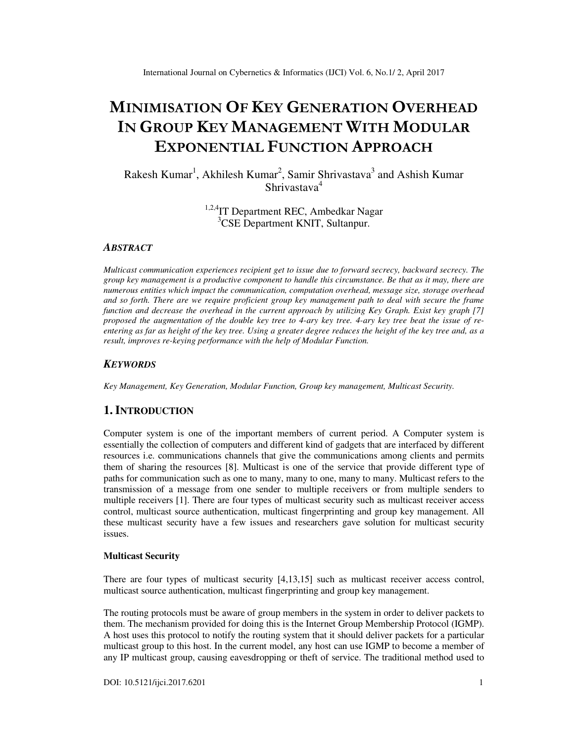# **MINIMISATION OF KEY GENERATION OVERHEAD IN GROUP KEY MANAGEMENT WITH MODULAR EXPONENTIAL FUNCTION APPROACH**

Rakesh Kumar<sup>1</sup>, Akhilesh Kumar<sup>2</sup>, Samir Shrivastava<sup>3</sup> and Ashish Kumar Shrivastava<sup>4</sup>

> <sup>1,2,4</sup>IT Department REC, Ambedkar Nagar <sup>3</sup>CSE Department KNIT, Sultanpur.

# *ABSTRACT*

*Multicast communication experiences recipient get to issue due to forward secrecy, backward secrecy. The group key management is a productive component to handle this circumstance. Be that as it may, there are numerous entities which impact the communication, computation overhead, message size, storage overhead and so forth. There are we require proficient group key management path to deal with secure the frame function and decrease the overhead in the current approach by utilizing Key Graph. Exist key graph [7] proposed the augmentation of the double key tree to 4-ary key tree. 4-ary key tree beat the issue of reentering as far as height of the key tree. Using a greater degree reduces the height of the key tree and, as a result, improves re-keying performance with the help of Modular Function.* 

# *KEYWORDS*

*Key Management, Key Generation, Modular Function, Group key management, Multicast Security.* 

# **1. INTRODUCTION**

Computer system is one of the important members of current period. A Computer system is essentially the collection of computers and different kind of gadgets that are interfaced by different resources i.e. communications channels that give the communications among clients and permits them of sharing the resources [8]. Multicast is one of the service that provide different type of paths for communication such as one to many, many to one, many to many. Multicast refers to the transmission of a message from one sender to multiple receivers or from multiple senders to multiple receivers [1]. There are four types of multicast security such as multicast receiver access control, multicast source authentication, multicast fingerprinting and group key management. All these multicast security have a few issues and researchers gave solution for multicast security issues.

## **Multicast Security**

There are four types of multicast security [4,13,15] such as multicast receiver access control, multicast source authentication, multicast fingerprinting and group key management.

The routing protocols must be aware of group members in the system in order to deliver packets to them. The mechanism provided for doing this is the Internet Group Membership Protocol (IGMP). A host uses this protocol to notify the routing system that it should deliver packets for a particular multicast group to this host. In the current model, any host can use IGMP to become a member of any IP multicast group, causing eavesdropping or theft of service. The traditional method used to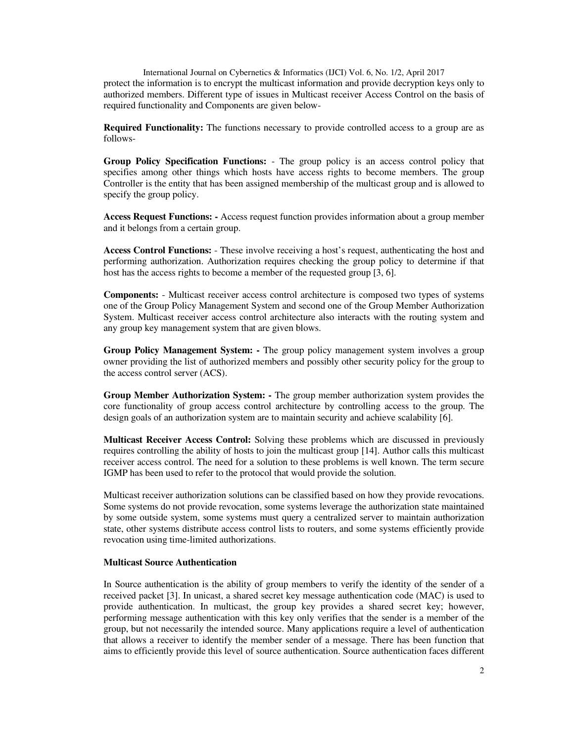International Journal on Cybernetics & Informatics (IJCI) Vol. 6, No. 1/2, April 2017 protect the information is to encrypt the multicast information and provide decryption keys only to authorized members. Different type of issues in Multicast receiver Access Control on the basis of required functionality and Components are given below-

**Required Functionality:** The functions necessary to provide controlled access to a group are as follows-

**Group Policy Specification Functions:** - The group policy is an access control policy that specifies among other things which hosts have access rights to become members. The group Controller is the entity that has been assigned membership of the multicast group and is allowed to specify the group policy.

**Access Request Functions: -** Access request function provides information about a group member and it belongs from a certain group.

**Access Control Functions:** - These involve receiving a host's request, authenticating the host and performing authorization. Authorization requires checking the group policy to determine if that host has the access rights to become a member of the requested group [3, 6].

**Components:** - Multicast receiver access control architecture is composed two types of systems one of the Group Policy Management System and second one of the Group Member Authorization System. Multicast receiver access control architecture also interacts with the routing system and any group key management system that are given blows.

**Group Policy Management System: -** The group policy management system involves a group owner providing the list of authorized members and possibly other security policy for the group to the access control server (ACS).

**Group Member Authorization System: -** The group member authorization system provides the core functionality of group access control architecture by controlling access to the group. The design goals of an authorization system are to maintain security and achieve scalability [6].

**Multicast Receiver Access Control:** Solving these problems which are discussed in previously requires controlling the ability of hosts to join the multicast group [14]. Author calls this multicast receiver access control. The need for a solution to these problems is well known. The term secure IGMP has been used to refer to the protocol that would provide the solution.

Multicast receiver authorization solutions can be classified based on how they provide revocations. Some systems do not provide revocation, some systems leverage the authorization state maintained by some outside system, some systems must query a centralized server to maintain authorization state, other systems distribute access control lists to routers, and some systems efficiently provide revocation using time-limited authorizations.

# **Multicast Source Authentication**

In Source authentication is the ability of group members to verify the identity of the sender of a received packet [3]. In unicast, a shared secret key message authentication code (MAC) is used to provide authentication. In multicast, the group key provides a shared secret key; however, performing message authentication with this key only verifies that the sender is a member of the group, but not necessarily the intended source. Many applications require a level of authentication that allows a receiver to identify the member sender of a message. There has been function that aims to efficiently provide this level of source authentication. Source authentication faces different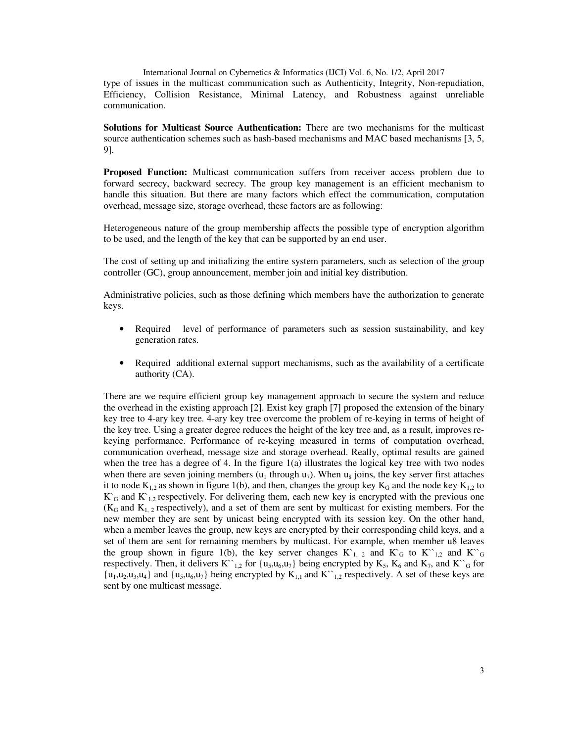International Journal on Cybernetics & Informatics (IJCI) Vol. 6, No. 1/2, April 2017 type of issues in the multicast communication such as Authenticity, Integrity, Non-repudiation, Efficiency, Collision Resistance, Minimal Latency, and Robustness against unreliable communication.

**Solutions for Multicast Source Authentication:** There are two mechanisms for the multicast source authentication schemes such as hash-based mechanisms and MAC based mechanisms [3, 5, 9].

**Proposed Function:** Multicast communication suffers from receiver access problem due to forward secrecy, backward secrecy. The group key management is an efficient mechanism to handle this situation. But there are many factors which effect the communication, computation overhead, message size, storage overhead, these factors are as following:

Heterogeneous nature of the group membership affects the possible type of encryption algorithm to be used, and the length of the key that can be supported by an end user.

The cost of setting up and initializing the entire system parameters, such as selection of the group controller (GC), group announcement, member join and initial key distribution.

Administrative policies, such as those defining which members have the authorization to generate keys.

- Required level of performance of parameters such as session sustainability, and key generation rates.
- Required additional external support mechanisms, such as the availability of a certificate authority (CA).

There are we require efficient group key management approach to secure the system and reduce the overhead in the existing approach [2]. Exist key graph [7] proposed the extension of the binary key tree to 4-ary key tree. 4-ary key tree overcome the problem of re-keying in terms of height of the key tree. Using a greater degree reduces the height of the key tree and, as a result, improves rekeying performance. Performance of re-keying measured in terms of computation overhead, communication overhead, message size and storage overhead. Really, optimal results are gained when the tree has a degree of 4. In the figure 1(a) illustrates the logical key tree with two nodes when there are seven joining members  $(u_1$  through  $u_7$ ). When  $u_8$  joins, the key server first attaches it to node  $K_{1,2}$  as shown in figure 1(b), and then, changes the group key  $K_G$  and the node key  $K_{1,2}$  to  $K<sub>G</sub>$  and  $K<sub>1,2</sub>$  respectively. For delivering them, each new key is encrypted with the previous one  $(K_G$  and  $K_{1,2}$  respectively), and a set of them are sent by multicast for existing members. For the new member they are sent by unicast being encrypted with its session key. On the other hand, when a member leaves the group, new keys are encrypted by their corresponding child keys, and a set of them are sent for remaining members by multicast. For example, when member u8 leaves the group shown in figure 1(b), the key server changes  $K_{1,2}$  and  $K_{\rm G}$  to  $K_{1,2}^{\rm s}$  and  $K_{\rm G}^{\rm s}$ respectively. Then, it delivers  $K^{\prime\prime}{}_{1,2}$  for {u<sub>5</sub>,u<sub>6</sub>,u<sub>7</sub>} being encrypted by K<sub>5</sub>, K<sub>6</sub> and K<sub>7</sub>, and K<sup> $\prime$ </sup><sub>G</sub> for  ${u_1, u_2, u_3, u_4}$  and  ${u_5, u_6, u_7}$  being encrypted by  $K_{1,1}$  and  $K^{\sim}{}_{1,2}$  respectively. A set of these keys are sent by one multicast message.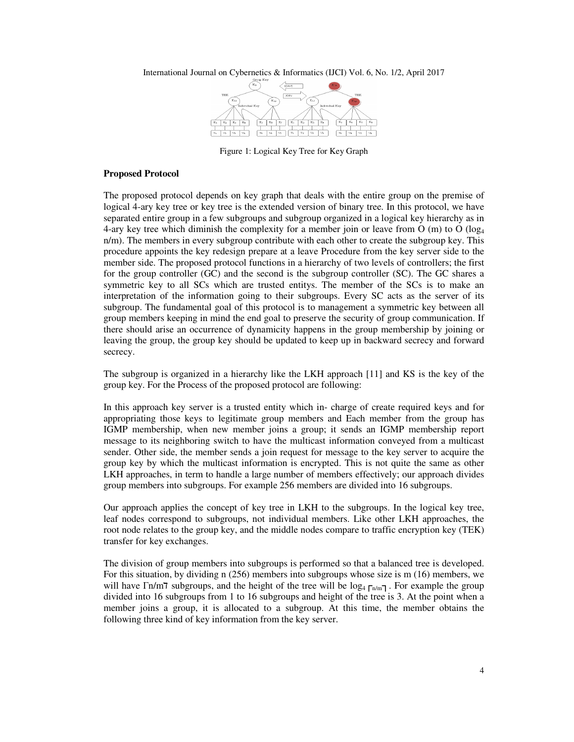

Figure 1: Logical Key Tree for Key Graph

#### **Proposed Protocol**

The proposed protocol depends on key graph that deals with the entire group on the premise of logical 4-ary key tree or key tree is the extended version of binary tree. In this protocol, we have separated entire group in a few subgroups and subgroup organized in a logical key hierarchy as in 4-ary key tree which diminish the complexity for a member join or leave from O (m) to O ( $log<sub>4</sub>$ n/m). The members in every subgroup contribute with each other to create the subgroup key. This procedure appoints the key redesign prepare at a leave Procedure from the key server side to the member side. The proposed protocol functions in a hierarchy of two levels of controllers; the first for the group controller (GC) and the second is the subgroup controller (SC). The GC shares a symmetric key to all SCs which are trusted entitys. The member of the SCs is to make an interpretation of the information going to their subgroups. Every SC acts as the server of its subgroup. The fundamental goal of this protocol is to management a symmetric key between all group members keeping in mind the end goal to preserve the security of group communication. If there should arise an occurrence of dynamicity happens in the group membership by joining or leaving the group, the group key should be updated to keep up in backward secrecy and forward secrecy.

The subgroup is organized in a hierarchy like the LKH approach [11] and KS is the key of the group key. For the Process of the proposed protocol are following:

In this approach key server is a trusted entity which in- charge of create required keys and for appropriating those keys to legitimate group members and Each member from the group has IGMP membership, when new member joins a group; it sends an IGMP membership report message to its neighboring switch to have the multicast information conveyed from a multicast sender. Other side, the member sends a join request for message to the key server to acquire the group key by which the multicast information is encrypted. This is not quite the same as other LKH approaches, in term to handle a large number of members effectively; our approach divides group members into subgroups. For example 256 members are divided into 16 subgroups.

Our approach applies the concept of key tree in LKH to the subgroups. In the logical key tree, leaf nodes correspond to subgroups, not individual members. Like other LKH approaches, the root node relates to the group key, and the middle nodes compare to traffic encryption key (TEK) transfer for key exchanges.

The division of group members into subgroups is performed so that a balanced tree is developed. For this situation, by dividing n (256) members into subgroups whose size is m (16) members, we will have Γn/m٦ subgroups, and the height of the tree will be log<sub>4</sub> Γn/m - For example the group divided into 16 subgroups from 1 to 16 subgroups and height of the tree is 3. At the point when a member joins a group, it is allocated to a subgroup. At this time, the member obtains the following three kind of key information from the key server.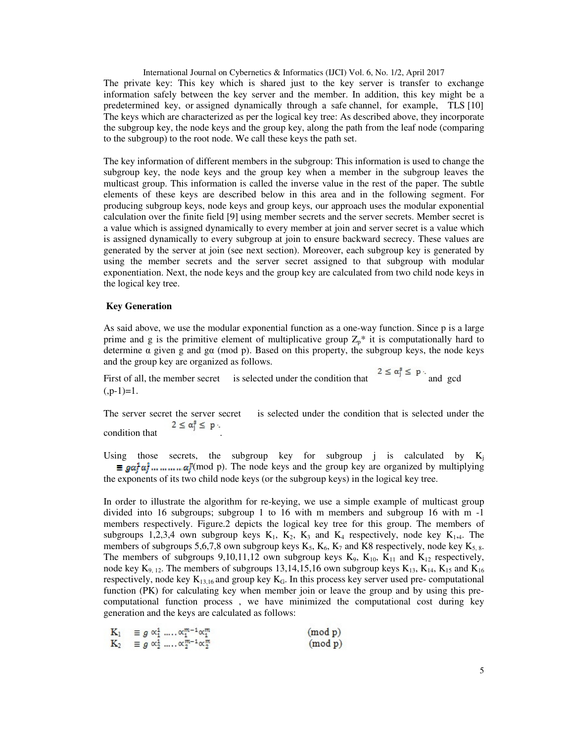International Journal on Cybernetics & Informatics (IJCI) Vol. 6, No. 1/2, April 2017 The private key: This key which is shared just to the key server is transfer to exchange information safely between the key server and the member. In addition, this key might be a predetermined key, or assigned dynamically through a safe channel, for example, TLS [10] The keys which are characterized as per the logical key tree: As described above, they incorporate the subgroup key, the node keys and the group key, along the path from the leaf node (comparing to the subgroup) to the root node. We call these keys the path set.

The key information of different members in the subgroup: This information is used to change the subgroup key, the node keys and the group key when a member in the subgroup leaves the multicast group. This information is called the inverse value in the rest of the paper. The subtle elements of these keys are described below in this area and in the following segment. For producing subgroup keys, node keys and group keys, our approach uses the modular exponential calculation over the finite field [9] using member secrets and the server secrets. Member secret is a value which is assigned dynamically to every member at join and server secret is a value which is assigned dynamically to every subgroup at join to ensure backward secrecy. These values are generated by the server at join (see next section). Moreover, each subgroup key is generated by using the member secrets and the server secret assigned to that subgroup with modular exponentiation. Next, the node keys and the group key are calculated from two child node keys in the logical key tree.

#### **Key Generation**

As said above, we use the modular exponential function as a one-way function. Since p is a large prime and g is the primitive element of multiplicative group  $Z_p^*$  it is computationally hard to determine α given g and gα (mod p). Based on this property, the subgroup keys, the node keys and the group key are organized as follows.

First of all, the member secret is selected under the condition that  $2 \le \alpha_j^2 \le p$  and gcd  $(p-1)=1.$ 

The server secret the server secret is selected under the condition that is selected under the  $2 \leq \alpha_i^3 \leq p$ . condition that .

Using those secrets, the subgroup key for subgroup j is calculated by  $K_i$  $\equiv ga^{\dagger}a^{\dagger}_1 \dots \dots \dots \dots a^{\dagger}(\text{mod } p)$ . The node keys and the group key are organized by multiplying the exponents of its two child node keys (or the subgroup keys) in the logical key tree.

In order to illustrate the algorithm for re-keying, we use a simple example of multicast group divided into 16 subgroups; subgroup 1 to 16 with m members and subgroup 16 with m -1 members respectively. Figure.2 depicts the logical key tree for this group. The members of subgroups 1,2,3,4 own subgroup keys  $K_1$ ,  $K_2$ ,  $K_3$  and  $K_4$  respectively, node key  $K_1$ , The members of subgroups 5,6,7,8 own subgroup keys  $K_5$ ,  $K_6$ ,  $K_7$  and K8 respectively, node key  $K_{5.8}$ . The members of subgroups 9,10,11,12 own subgroup keys  $K_9$ ,  $K_{10}$ ,  $K_{11}$  and  $K_{12}$  respectively, node key  $K_{9, 12}$ . The members of subgroups 13,14,15,16 own subgroup keys  $K_{13}$ ,  $K_{14}$ ,  $K_{15}$  and  $K_{16}$ respectively, node key  $K_{13,16}$  and group key  $K_G$ . In this process key server used pre- computational function (PK) for calculating key when member join or leave the group and by using this precomputational function process , we have minimized the computational cost during key generation and the keys are calculated as follows:

$$
K_1 \equiv g \alpha_1^1 \dots \alpha_1^{m-1} \alpha_1^m \qquad \qquad \text{(mod p)}
$$
\n
$$
K_2 \equiv g \alpha_2^1 \dots \alpha_2^{m-1} \alpha_2^m \qquad \qquad \text{(mod p)}
$$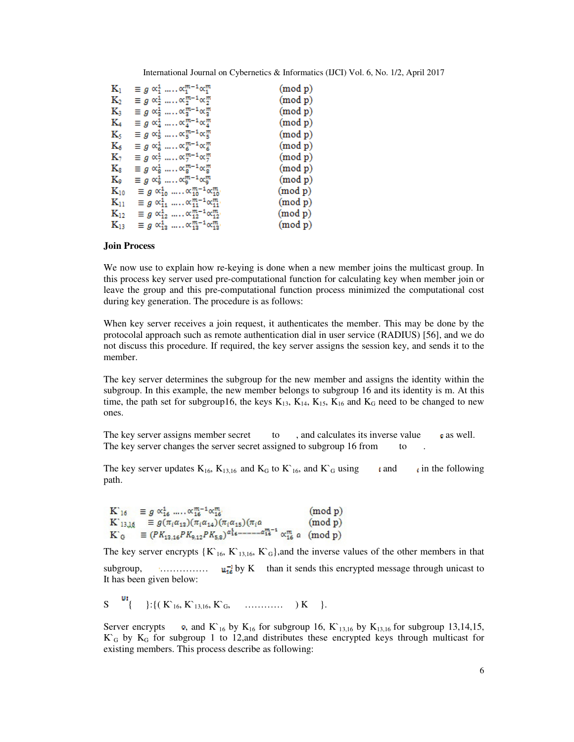| $K_1$          | $\equiv g \propto_1^1 \ldots \propto_1^{m-1} \propto_1^m$                      | (mod p) |
|----------------|--------------------------------------------------------------------------------|---------|
| $K_2$          | $\equiv g \propto_2^1 \ldots \propto_2^{m-1} \propto_2^m$                      | (mod p) |
| К3             | $\equiv g \propto_{\alpha}^1 \ldots \propto_{\alpha}^{m-1} \propto_{\alpha}^m$ | (mod p) |
| K4             | $\equiv g \propto_4^1 \ldots \propto_4^{m-1} \propto_4^m$                      | (mod p) |
| K5             | $\equiv g \propto_5^1 \ldots \propto_5^{m-1} \propto_5^m$                      | (mod p) |
| $\rm K_6$      | $\equiv g \propto_6^1 \ldots \propto_6^{m-1} \propto_6^m$                      | (mod p) |
| $\mathbf{K}_7$ | $\equiv g \propto_{7}^{1}$ , $\propto_{7}^{m-1} \propto_{7}^{m}$               | (mod p) |
| $\rm K_{8}$    | $\equiv g \propto_{g}^{1} \dots \propto_{g}^{m-1} \propto_{g}^{m}$             | (mod p) |
| Ko             | $\equiv g \propto_9^1 \ldots \propto_9^{m-1} \propto_9^m$                      | (mod p) |
| $K_{10}$       | $\equiv g \propto_{10}^{1}$ $\propto_{10}^{m-1} \propto_{10}^{m}$              | (mod p) |
| $\rm K_{11}$   | $\equiv g \propto_1^1, \dots, \propto_1^{m-1} \propto_1^m$                     | (mod p) |
| $\rm K_{12}$   | $\equiv g \propto_{12}^{1}$ $\propto_{12}^{m-1} \propto_{12}^{m}$              | (mod p) |
| $\rm K_{13}$   | $\equiv g \propto_{12}^{1}$ $\propto_{12}^{m-1} \propto_{12}^{m}$              | (mod p) |

#### **Join Process**

We now use to explain how re-keying is done when a new member joins the multicast group. In this process key server used pre-computational function for calculating key when member join or leave the group and this pre-computational function process minimized the computational cost during key generation. The procedure is as follows:

When key server receives a join request, it authenticates the member. This may be done by the protocolal approach such as remote authentication dial in user service (RADIUS) [56], and we do not discuss this procedure. If required, the key server assigns the session key, and sends it to the member.

The key server determines the subgroup for the new member and assigns the identity within the subgroup. In this example, the new member belongs to subgroup 16 and its identity is m. At this time, the path set for subgroup16, the keys  $K_{13}$ ,  $K_{14}$ ,  $K_{15}$ ,  $K_{16}$  and  $K_G$  need to be changed to new ones.

The key server assigns member secret to, and calculates its inverse value  $\bullet$  as well. The key server changes the server secret assigned to subgroup 16 from to

The key server updates  $K_{16}$ ,  $K_{13,16}$  and  $K_{G}$  to  $K^{\circ}_{16}$ , and  $K^{\circ}_{G}$  using and in the following path.

$$
\begin{array}{ll}\nK_{16} & \equiv g \alpha_{16}^4 \dots \alpha_{16}^{m-1} \alpha_{16}^m & \text{(mod p)} \\
K_{13,16} & \equiv g(\pi_i \alpha_{13}) (\pi_i \alpha_{14}) (\pi_i \alpha_{15}) (\pi_i \alpha & \text{(mod p)} \\
K_{G} & \equiv (PK_{13,16}PK_{9,12}PK_{5,8})^{\alpha_{16}^4} \dots \dots \alpha_{16}^{m-1} \alpha_{16}^m \alpha & \text{(mod p)}\n\end{array}
$$

The key server encrypts  $\{K_{16}, K_{13,16}, K_{\overline{G}}\}$ , and the inverse values of the other members in that subgroup, …………… by K than it sends this encrypted message through unicast to It has been given below:

S { }:{( K`16, K`13,16, K`G, ………… ) K }.

Server encrypts  $\bullet$ , and K<sub>16</sub> by K<sub>16</sub> for subgroup 16, K<sub>13,16</sub> by K<sub>13,16</sub> for subgroup 13,14,15,  $K_G$  by  $K_G$  for subgroup 1 to 12, and distributes these encrypted keys through multicast for existing members. This process describe as following: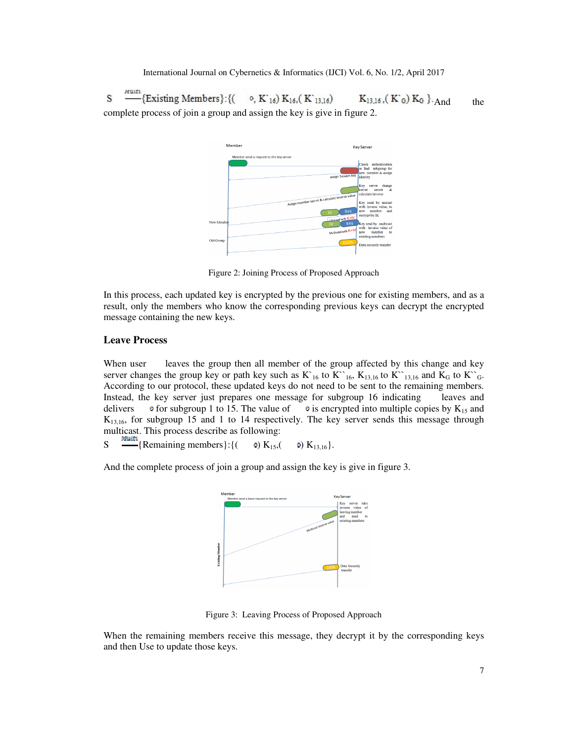S Existing Members }: {(  $_0$ , K'<sub>16</sub>) K<sub>16</sub>, (K'<sub>13,16</sub>)  $K_{13,16}$ ,  $(K_G) K_G$ ,  $A_{nd}$  the complete process of join a group and assign the key is give in figure 2.



Figure 2: Joining Process of Proposed Approach

In this process, each updated key is encrypted by the previous one for existing members, and as a result, only the members who know the corresponding previous keys can decrypt the encrypted message containing the new keys.

# **Leave Process**

When user leaves the group then all member of the group affected by this change and key server changes the group key or path key such as  $K_{16}$  to  $K_{16}$ ,  $K_{13,16}$  to  $K_{13,16}$  and  $K_{G}$  to  $K_{16}$ . According to our protocol, these updated keys do not need to be sent to the remaining members. Instead, the key server just prepares one message for subgroup 16 indicating leaves and delivers  $\bullet$  for subgroup 1 to 15. The value of  $\bullet$  is encrypted into multiple copies by K<sub>15</sub> and  $K<sub>13,16</sub>$ , for subgroup 15 and 1 to 14 respectively. The key server sends this message through multicast. This process describe as following:

S  $\frac{M_{\text{Hill}}}{\sqrt{N_{\text{Hill}}}}$  {Remaining members}: {( 0) K<sub>15</sub>,( 0) K<sub>13,16</sub>}.

And the complete process of join a group and assign the key is give in figure 3.



Figure 3: Leaving Process of Proposed Approach

When the remaining members receive this message, they decrypt it by the corresponding keys and then Use to update those keys.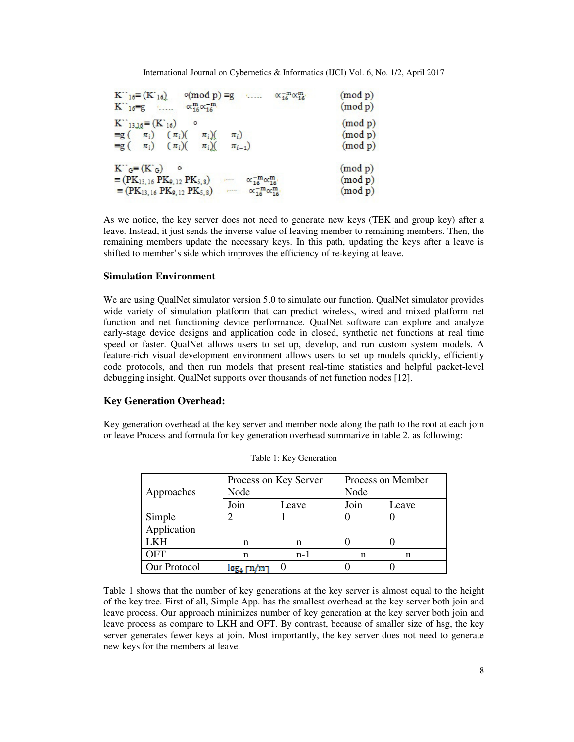| $K^{\prime\prime}_{16} \equiv (K^{\prime}_{16})$ $\circ$ (mod p) =g $\propto \frac{-m}{16} \propto \frac{m}{16}$<br>$K^{\sim}{}_{16} = g \quad \dots \quad \alpha_{16}^{m} \alpha_{16}^{-m}$                                                                                             | (mod p)<br>(mod p)            |
|------------------------------------------------------------------------------------------------------------------------------------------------------------------------------------------------------------------------------------------------------------------------------------------|-------------------------------|
| $K_{13,16} = (K_{16})$<br>$\equiv$ g( $\pi_i$ ) ( $\pi_i$ )( $\pi_i$ )(<br>$\pi_i$<br>$\equiv$ g( $\pi_i$ ) ( $\pi_j$ )( $\pi_j$ )(<br>$\pi_{i-1}$                                                                                                                                       | (mod p)<br>(mod p)<br>(mod p) |
| $K^{\sim}{}_{G} \equiv (K^{\sim}{}_{G})$ o<br>$\equiv$ (PK <sub>13,16</sub> PK <sub>9,12</sub> PK <sub>5,8</sub> )<br>$\alpha_{16}^{-m} \alpha_{16}^{m}$<br>$\mathbf{r}$<br>$\equiv$ (PK <sub>13,16</sub> PK <sub>9,12</sub> PK <sub>5,8</sub> ) $\sim \alpha_{16}^{-m} \alpha_{16}^{m}$ | (mod p)<br>(mod p)<br>(mod p) |

As we notice, the key server does not need to generate new keys (TEK and group key) after a leave. Instead, it just sends the inverse value of leaving member to remaining members. Then, the remaining members update the necessary keys. In this path, updating the keys after a leave is shifted to member's side which improves the efficiency of re-keying at leave.

# **Simulation Environment**

We are using QualNet simulator version 5.0 to simulate our function. QualNet simulator provides wide variety of simulation platform that can predict wireless, wired and mixed platform net function and net functioning device performance. QualNet software can explore and analyze early-stage device designs and application code in closed, synthetic net functions at real time speed or faster. QualNet allows users to set up, develop, and run custom system models. A feature-rich visual development environment allows users to set up models quickly, efficiently code protocols, and then run models that present real-time statistics and helpful packet-level debugging insight. QualNet supports over thousands of net function nodes [12].

### **Key Generation Overhead:**

Key generation overhead at the key server and member node along the path to the root at each join or leave Process and formula for key generation overhead summarize in table 2. as following:

| Approaches   | Process on Key Server<br>Node |       | Process on Member<br>Node |       |
|--------------|-------------------------------|-------|---------------------------|-------|
|              | Join                          | Leave | Join                      | Leave |
| Simple       | ာ                             |       |                           |       |
| Application  |                               |       |                           |       |
| LKH          | n                             | n     |                           |       |
| OFT          | n                             | $n-1$ | n                         | n     |
| Our Protocol | $logA$ $m/m$ ]                |       |                           |       |

Table 1: Key Generation

Table 1 shows that the number of key generations at the key server is almost equal to the height of the key tree. First of all, Simple App. has the smallest overhead at the key server both join and leave process. Our approach minimizes number of key generation at the key server both join and leave process as compare to LKH and OFT. By contrast, because of smaller size of hsg, the key server generates fewer keys at join. Most importantly, the key server does not need to generate new keys for the members at leave.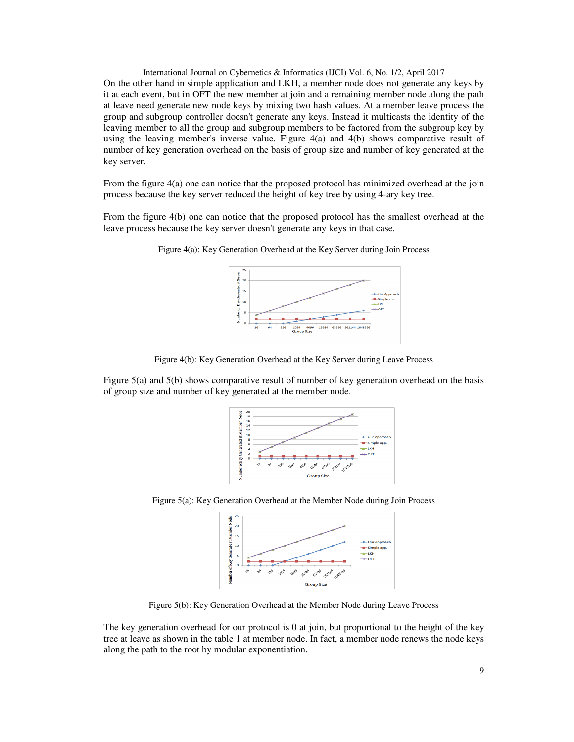International Journal on Cybernetics & Informatics (IJCI) Vol. 6, No. 1/2, April 2017 On the other hand in simple application and LKH, a member node does not generate any keys by it at each event, but in OFT the new member at join and a remaining member node along the path at leave need generate new node keys by mixing two hash values. At a member leave process the group and subgroup controller doesn't generate any keys. Instead it multicasts the identity of the leaving member to all the group and subgroup members to be factored from the subgroup key by using the leaving member's inverse value. Figure 4(a) and 4(b) shows comparative result of number of key generation overhead on the basis of group size and number of key generated at the key server.

From the figure 4(a) one can notice that the proposed protocol has minimized overhead at the join process because the key server reduced the height of key tree by using 4-ary key tree.

From the figure 4(b) one can notice that the proposed protocol has the smallest overhead at the leave process because the key server doesn't generate any keys in that case.



Figure 4(a): Key Generation Overhead at the Key Server during Join Process

Figure 4(b): Key Generation Overhead at the Key Server during Leave Process

Figure 5(a) and 5(b) shows comparative result of number of key generation overhead on the basis of group size and number of key generated at the member node.



Figure 5(a): Key Generation Overhead at the Member Node during Join Process



Figure 5(b): Key Generation Overhead at the Member Node during Leave Process

The key generation overhead for our protocol is 0 at join, but proportional to the height of the key tree at leave as shown in the table 1 at member node. In fact, a member node renews the node keys along the path to the root by modular exponentiation.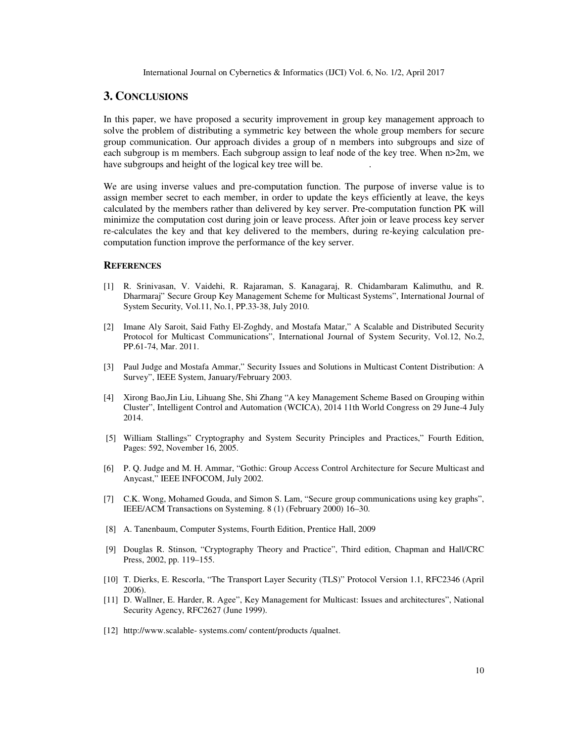# **3. CONCLUSIONS**

In this paper, we have proposed a security improvement in group key management approach to solve the problem of distributing a symmetric key between the whole group members for secure group communication. Our approach divides a group of n members into subgroups and size of each subgroup is m members. Each subgroup assign to leaf node of the key tree. When  $n>2m$ , we have subgroups and height of the logical key tree will be. .

We are using inverse values and pre-computation function. The purpose of inverse value is to assign member secret to each member, in order to update the keys efficiently at leave, the keys calculated by the members rather than delivered by key server. Pre-computation function PK will minimize the computation cost during join or leave process. After join or leave process key server re-calculates the key and that key delivered to the members, during re-keying calculation precomputation function improve the performance of the key server.

## **REFERENCES**

- [1] R. Srinivasan, V. Vaidehi, R. Rajaraman, S. Kanagaraj, R. Chidambaram Kalimuthu, and R. Dharmaraj" Secure Group Key Management Scheme for Multicast Systems", International Journal of System Security, Vol.11, No.1, PP.33-38, July 2010.
- [2] Imane Aly Saroit, Said Fathy El-Zoghdy, and Mostafa Matar," A Scalable and Distributed Security Protocol for Multicast Communications", International Journal of System Security, Vol.12, No.2, PP.61-74, Mar. 2011.
- [3] Paul Judge and Mostafa Ammar," Security Issues and Solutions in Multicast Content Distribution: A Survey", IEEE System, January/February 2003.
- [4] Xirong Bao,Jin Liu, Lihuang She, Shi Zhang "A key Management Scheme Based on Grouping within Cluster", Intelligent Control and Automation (WCICA), 2014 11th World Congress on 29 June-4 July 2014.
- [5] William Stallings" Cryptography and System Security Principles and Practices," Fourth Edition, Pages: 592, November 16, 2005.
- [6] P. Q. Judge and M. H. Ammar, "Gothic: Group Access Control Architecture for Secure Multicast and Anycast," IEEE INFOCOM, July 2002.
- [7] C.K. Wong, Mohamed Gouda, and Simon S. Lam, "Secure group communications using key graphs", IEEE/ACM Transactions on Systeming. 8 (1) (February 2000) 16–30.
- [8] A. Tanenbaum, Computer Systems, Fourth Edition, Prentice Hall, 2009
- [9] Douglas R. Stinson, "Cryptography Theory and Practice", Third edition, Chapman and Hall/CRC Press, 2002, pp. 119–155.
- [10] T. Dierks, E. Rescorla, "The Transport Layer Security (TLS)" Protocol Version 1.1, RFC2346 (April 2006).
- [11] D. Wallner, E. Harder, R. Agee", Key Management for Multicast: Issues and architectures", National Security Agency, RFC2627 (June 1999).
- [12] http://www.scalable- systems.com/ content/products /qualnet.